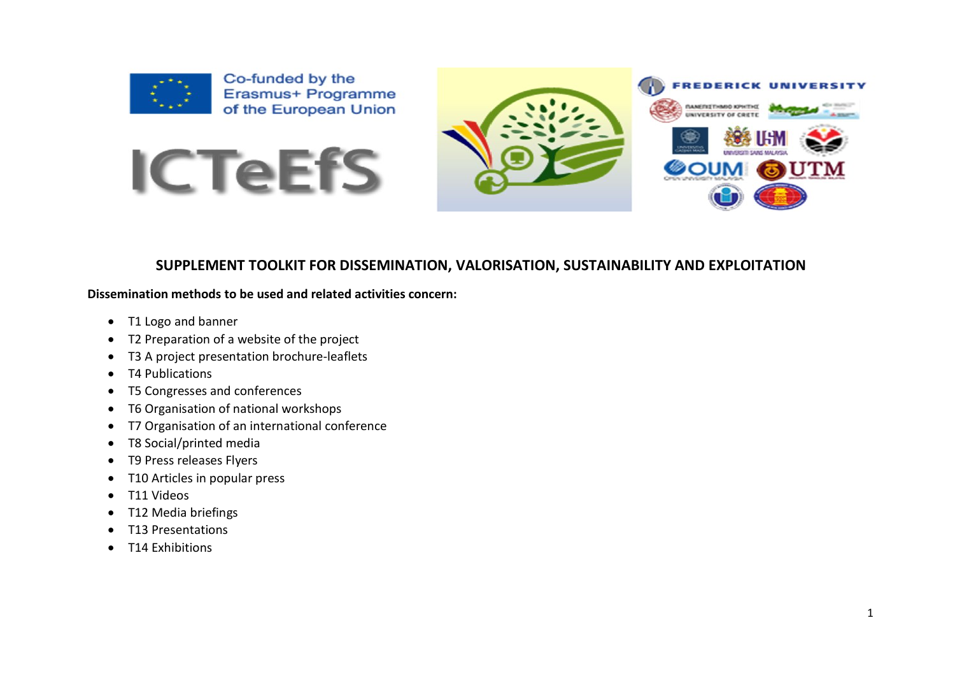

Co-funded by the Erasmus+ Programme of the European Union





## **SUPPLEMENT TOOLKIT FOR DISSEMINATION, VALORISATION, SUSTAINABILITY AND EXPLOITATION**

#### **Dissemination methods to be used and related activities concern:**

- T1 Logo and banner
- T2 Preparation of a website of the project
- T3 A project presentation brochure-leaflets
- T4 Publications
- T5 Congresses and conferences
- T6 Organisation of national workshops
- T7 Organisation of an international conference
- T8 Social/printed media
- T9 Press releases Flyers
- T10 Articles in popular press
- T11 Videos
- T12 Media briefings
- T13 Presentations
- T14 Exhibitions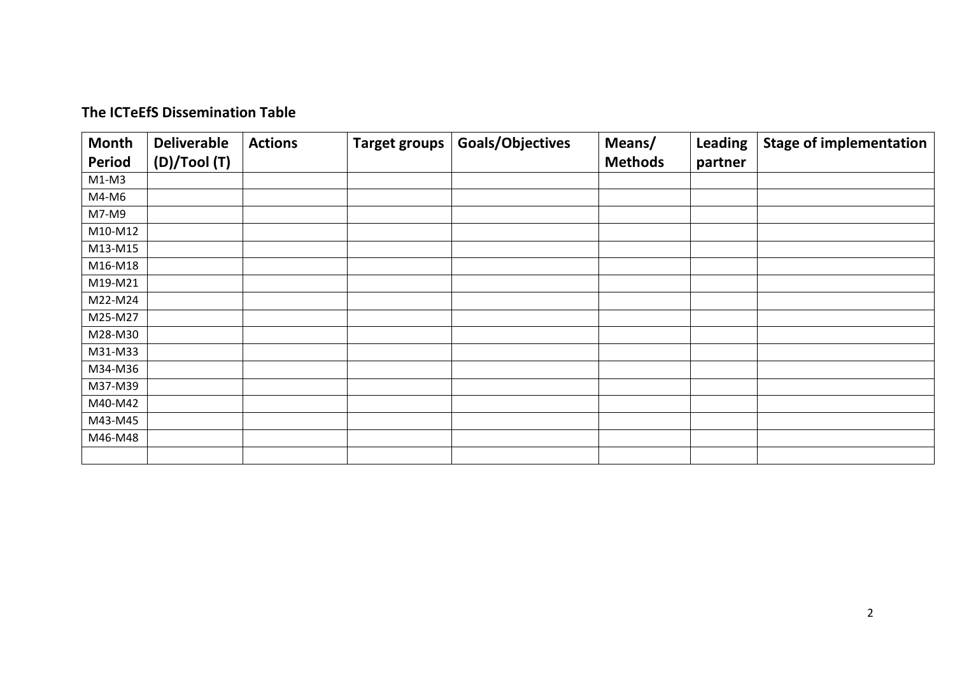| <b>Month</b>  | <b>Deliverable</b> | <b>Actions</b> | <b>Target groups</b> | <b>Goals/Objectives</b> | Means/         | <b>Leading</b> | <b>Stage of implementation</b> |  |
|---------------|--------------------|----------------|----------------------|-------------------------|----------------|----------------|--------------------------------|--|
| <b>Period</b> | (D)/Tool (T)       |                |                      |                         | <b>Methods</b> | partner        |                                |  |
| $M1-M3$       |                    |                |                      |                         |                |                |                                |  |
| M4-M6         |                    |                |                      |                         |                |                |                                |  |
| M7-M9         |                    |                |                      |                         |                |                |                                |  |
| M10-M12       |                    |                |                      |                         |                |                |                                |  |
| M13-M15       |                    |                |                      |                         |                |                |                                |  |
| M16-M18       |                    |                |                      |                         |                |                |                                |  |
| M19-M21       |                    |                |                      |                         |                |                |                                |  |
| M22-M24       |                    |                |                      |                         |                |                |                                |  |
| M25-M27       |                    |                |                      |                         |                |                |                                |  |
| M28-M30       |                    |                |                      |                         |                |                |                                |  |
| M31-M33       |                    |                |                      |                         |                |                |                                |  |
| M34-M36       |                    |                |                      |                         |                |                |                                |  |
| M37-M39       |                    |                |                      |                         |                |                |                                |  |
| M40-M42       |                    |                |                      |                         |                |                |                                |  |
| M43-M45       |                    |                |                      |                         |                |                |                                |  |
| M46-M48       |                    |                |                      |                         |                |                |                                |  |
|               |                    |                |                      |                         |                |                |                                |  |

## **The ICTeEfS Dissemination Table**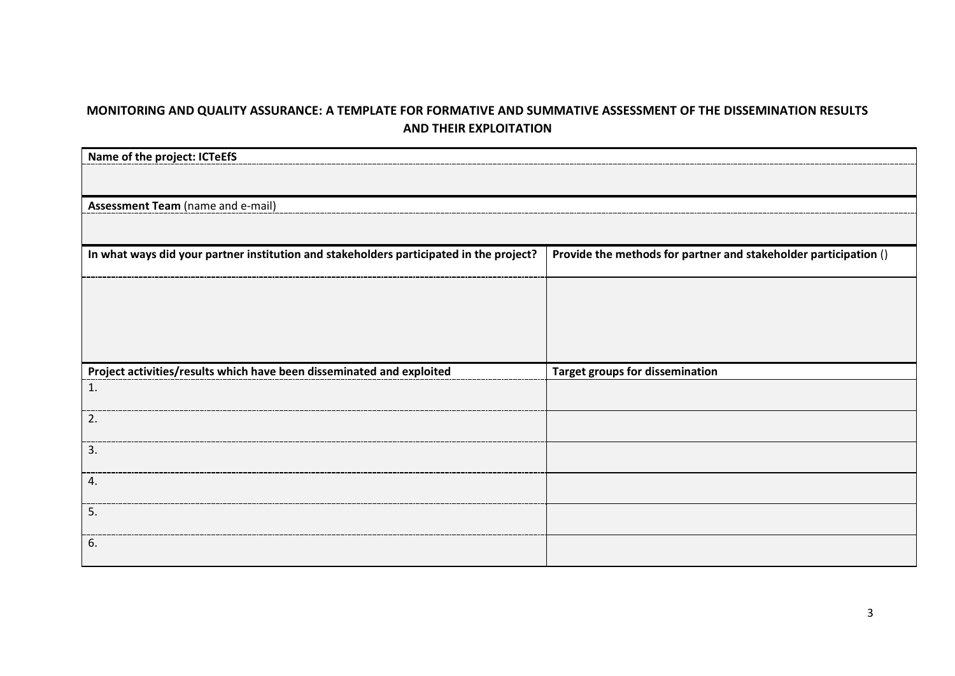## **MONITORING AND QUALITY ASSURANCE: A TEMPLATE FOR FORMATIVE AND SUMMATIVE ASSESSMENT OF THE DISSEMINATION RESULTS AND THEIR EXPLOITATION**

| Name of the project: ICTeEfS                                                            |                                                                  |
|-----------------------------------------------------------------------------------------|------------------------------------------------------------------|
|                                                                                         |                                                                  |
|                                                                                         |                                                                  |
| Assessment Team (name and e-mail)                                                       |                                                                  |
|                                                                                         |                                                                  |
| In what ways did your partner institution and stakeholders participated in the project? | Provide the methods for partner and stakeholder participation () |
|                                                                                         |                                                                  |
|                                                                                         |                                                                  |
|                                                                                         |                                                                  |
|                                                                                         |                                                                  |
| Project activities/results which have been disseminated and exploited                   | <b>Target groups for dissemination</b>                           |
| 1.                                                                                      |                                                                  |
| 2.                                                                                      |                                                                  |
| 3.                                                                                      |                                                                  |
| 4.                                                                                      |                                                                  |
| 5.                                                                                      |                                                                  |
| 6.                                                                                      |                                                                  |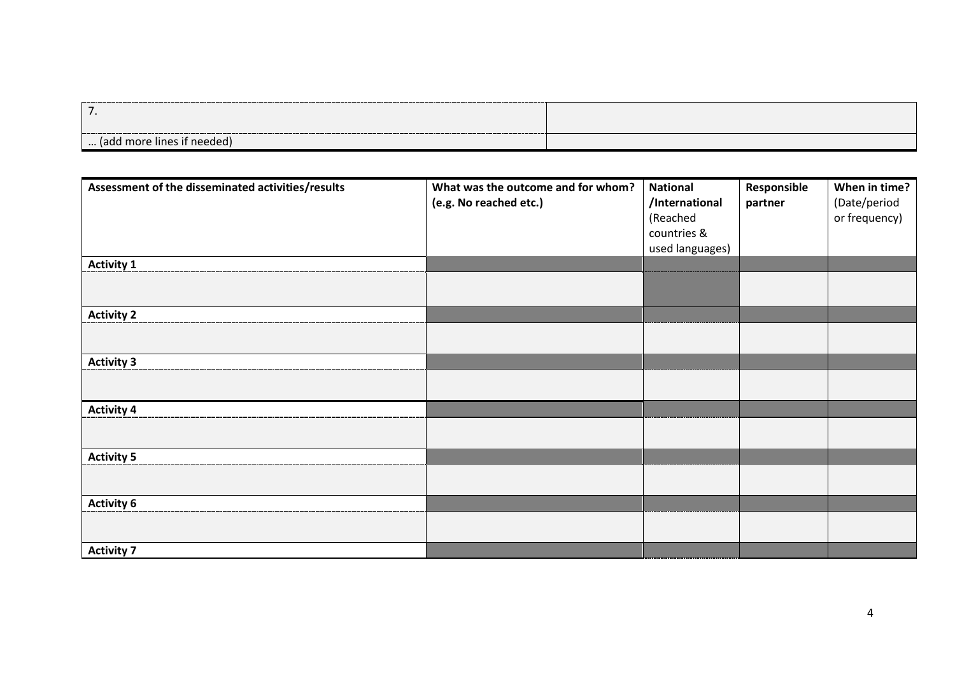| . .                        |  |
|----------------------------|--|
| (add more lines if needed) |  |

| Assessment of the disseminated activities/results | What was the outcome and for whom?<br>(e.g. No reached etc.) | <b>National</b><br>/International<br>(Reached<br>countries &<br>used languages) | Responsible<br>partner | When in time?<br>(Date/period<br>or frequency) |
|---------------------------------------------------|--------------------------------------------------------------|---------------------------------------------------------------------------------|------------------------|------------------------------------------------|
| <b>Activity 1</b>                                 |                                                              |                                                                                 |                        |                                                |
|                                                   |                                                              |                                                                                 |                        |                                                |
| <b>Activity 2</b>                                 |                                                              |                                                                                 |                        |                                                |
|                                                   |                                                              |                                                                                 |                        |                                                |
| <b>Activity 3</b>                                 |                                                              |                                                                                 |                        |                                                |
|                                                   |                                                              |                                                                                 |                        |                                                |
| <b>Activity 4</b>                                 |                                                              |                                                                                 |                        |                                                |
|                                                   |                                                              |                                                                                 |                        |                                                |
| <b>Activity 5</b>                                 |                                                              |                                                                                 |                        |                                                |
|                                                   |                                                              |                                                                                 |                        |                                                |
| <b>Activity 6</b>                                 |                                                              |                                                                                 |                        |                                                |
|                                                   |                                                              |                                                                                 |                        |                                                |
| <b>Activity 7</b>                                 |                                                              |                                                                                 |                        |                                                |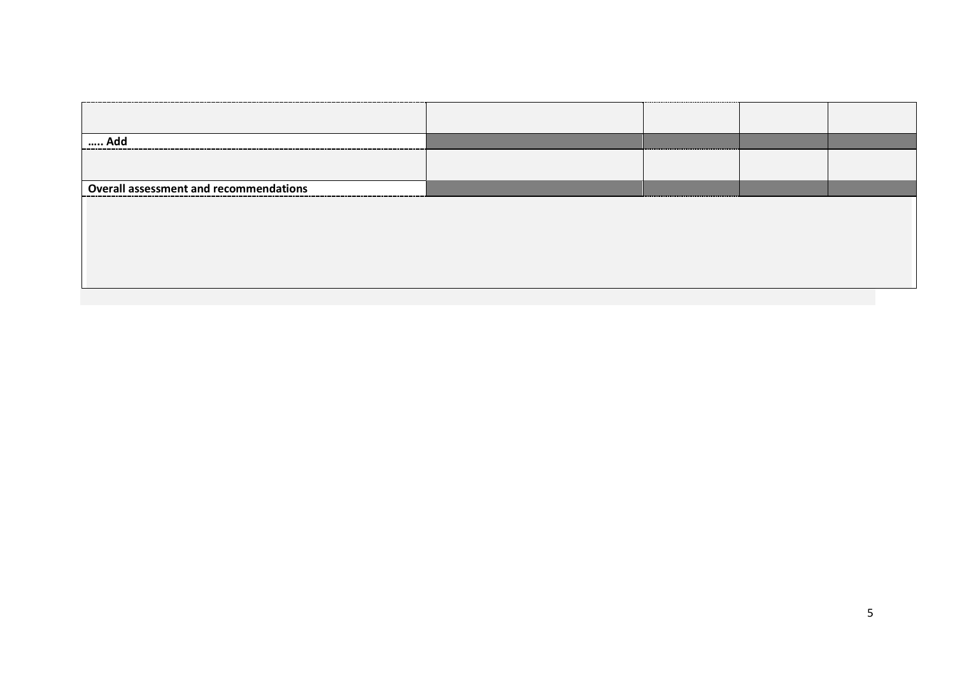| Add                                           |  |  |
|-----------------------------------------------|--|--|
|                                               |  |  |
| <b>Overall assessment and recommendations</b> |  |  |
|                                               |  |  |
|                                               |  |  |
|                                               |  |  |
|                                               |  |  |
|                                               |  |  |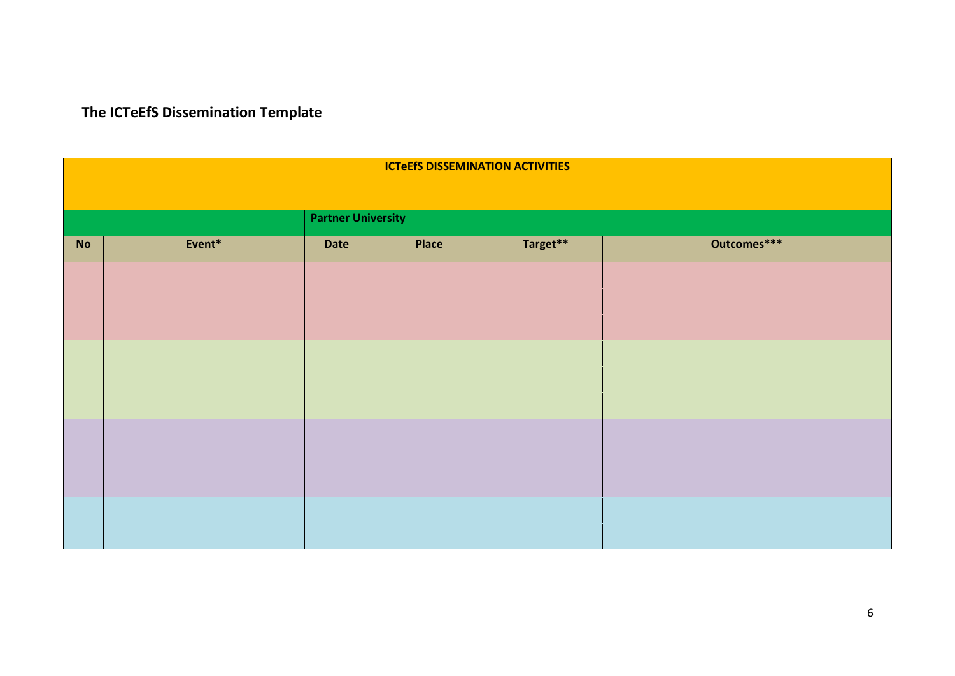**The ICTeEfS Dissemination Template**

|    | <b>ICTEEfS DISSEMINATION ACTIVITIES</b> |      |              |          |             |  |  |  |  |  |  |  |  |  |
|----|-----------------------------------------|------|--------------|----------|-------------|--|--|--|--|--|--|--|--|--|
|    |                                         |      |              |          |             |  |  |  |  |  |  |  |  |  |
|    | <b>Partner University</b>               |      |              |          |             |  |  |  |  |  |  |  |  |  |
| No | Event*                                  | Date | <b>Place</b> | Target** | Outcomes*** |  |  |  |  |  |  |  |  |  |
|    |                                         |      |              |          |             |  |  |  |  |  |  |  |  |  |
|    |                                         |      |              |          |             |  |  |  |  |  |  |  |  |  |
|    |                                         |      |              |          |             |  |  |  |  |  |  |  |  |  |
|    |                                         |      |              |          |             |  |  |  |  |  |  |  |  |  |
|    |                                         |      |              |          |             |  |  |  |  |  |  |  |  |  |
|    |                                         |      |              |          |             |  |  |  |  |  |  |  |  |  |
|    |                                         |      |              |          |             |  |  |  |  |  |  |  |  |  |
|    |                                         |      |              |          |             |  |  |  |  |  |  |  |  |  |
|    |                                         |      |              |          |             |  |  |  |  |  |  |  |  |  |
|    |                                         |      |              |          |             |  |  |  |  |  |  |  |  |  |
|    |                                         |      |              |          |             |  |  |  |  |  |  |  |  |  |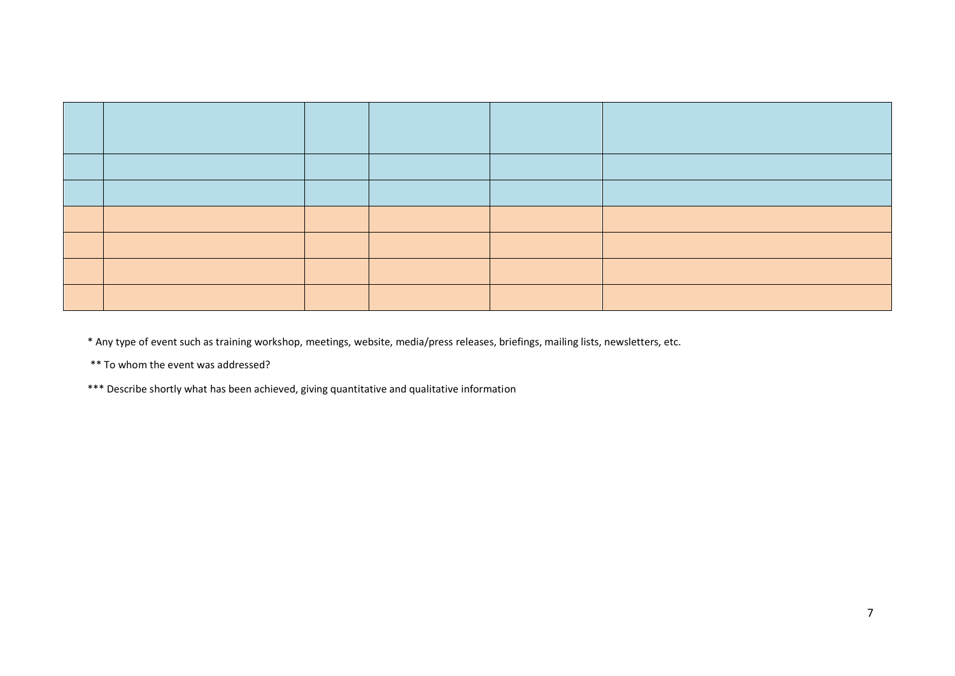\* Any type of event such as training workshop, meetings, website, media/press releases, briefings, mailing lists, newsletters, etc.

\*\* To whom the event was addressed?

\*\*\* Describe shortly what has been achieved, giving quantitative and qualitative information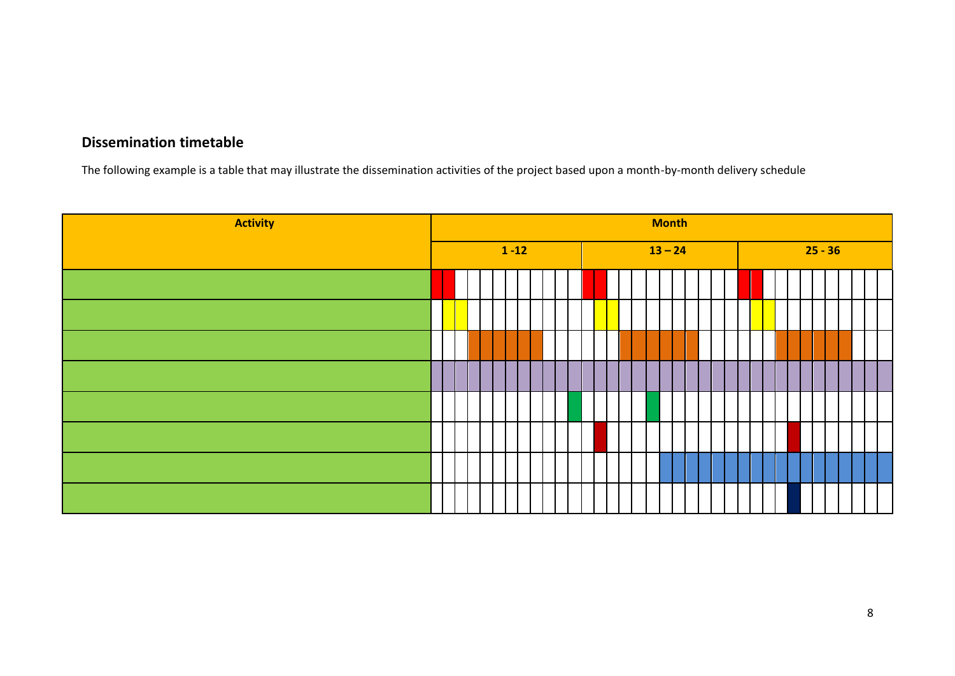# **Dissemination timetable**

The following example is a table that may illustrate the dissemination activities of the project based upon a month-by-month delivery schedule

| <b>Activity</b> | <b>Month</b> |  |  |  |          |  |  |  |  |           |  |  |  |  |  |  |  |  |           |  |  |  |  |  |  |  |
|-----------------|--------------|--|--|--|----------|--|--|--|--|-----------|--|--|--|--|--|--|--|--|-----------|--|--|--|--|--|--|--|
|                 |              |  |  |  | $1 - 12$ |  |  |  |  | $13 - 24$ |  |  |  |  |  |  |  |  | $25 - 36$ |  |  |  |  |  |  |  |
|                 |              |  |  |  |          |  |  |  |  |           |  |  |  |  |  |  |  |  |           |  |  |  |  |  |  |  |
|                 |              |  |  |  |          |  |  |  |  |           |  |  |  |  |  |  |  |  |           |  |  |  |  |  |  |  |
|                 |              |  |  |  |          |  |  |  |  |           |  |  |  |  |  |  |  |  |           |  |  |  |  |  |  |  |
|                 |              |  |  |  |          |  |  |  |  |           |  |  |  |  |  |  |  |  |           |  |  |  |  |  |  |  |
|                 |              |  |  |  |          |  |  |  |  |           |  |  |  |  |  |  |  |  |           |  |  |  |  |  |  |  |
|                 |              |  |  |  |          |  |  |  |  |           |  |  |  |  |  |  |  |  |           |  |  |  |  |  |  |  |
|                 |              |  |  |  |          |  |  |  |  |           |  |  |  |  |  |  |  |  |           |  |  |  |  |  |  |  |
|                 |              |  |  |  |          |  |  |  |  |           |  |  |  |  |  |  |  |  |           |  |  |  |  |  |  |  |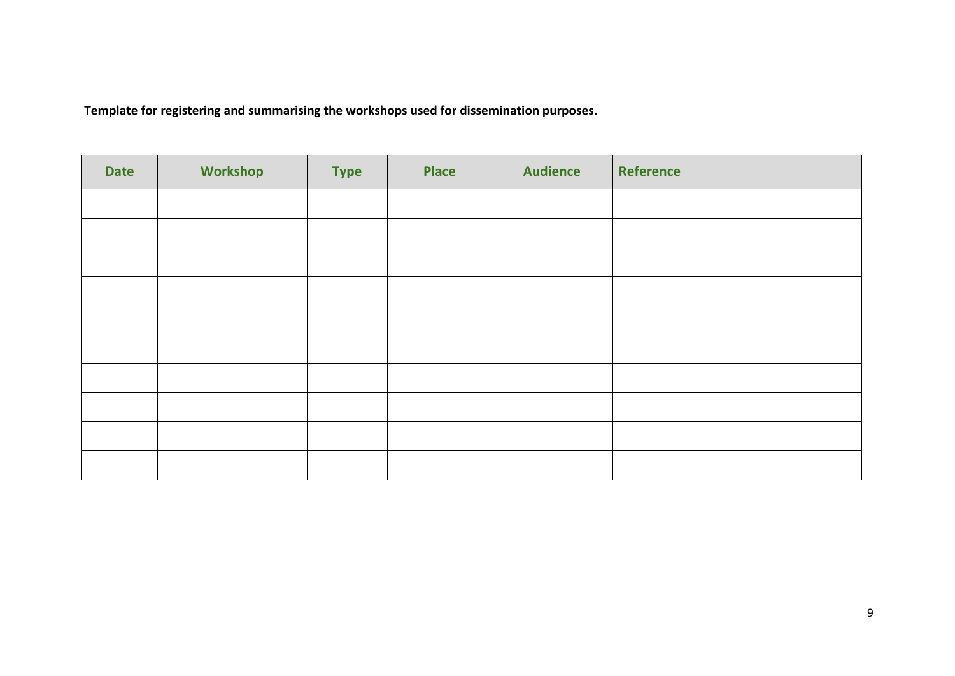**Template for registering and summarising the workshops used for dissemination purposes.**

| <b>Date</b> | <b>Workshop</b> | <b>Type</b> | <b>Place</b> | <b>Audience</b> | Reference |
|-------------|-----------------|-------------|--------------|-----------------|-----------|
|             |                 |             |              |                 |           |
|             |                 |             |              |                 |           |
|             |                 |             |              |                 |           |
|             |                 |             |              |                 |           |
|             |                 |             |              |                 |           |
|             |                 |             |              |                 |           |
|             |                 |             |              |                 |           |
|             |                 |             |              |                 |           |
|             |                 |             |              |                 |           |
|             |                 |             |              |                 |           |